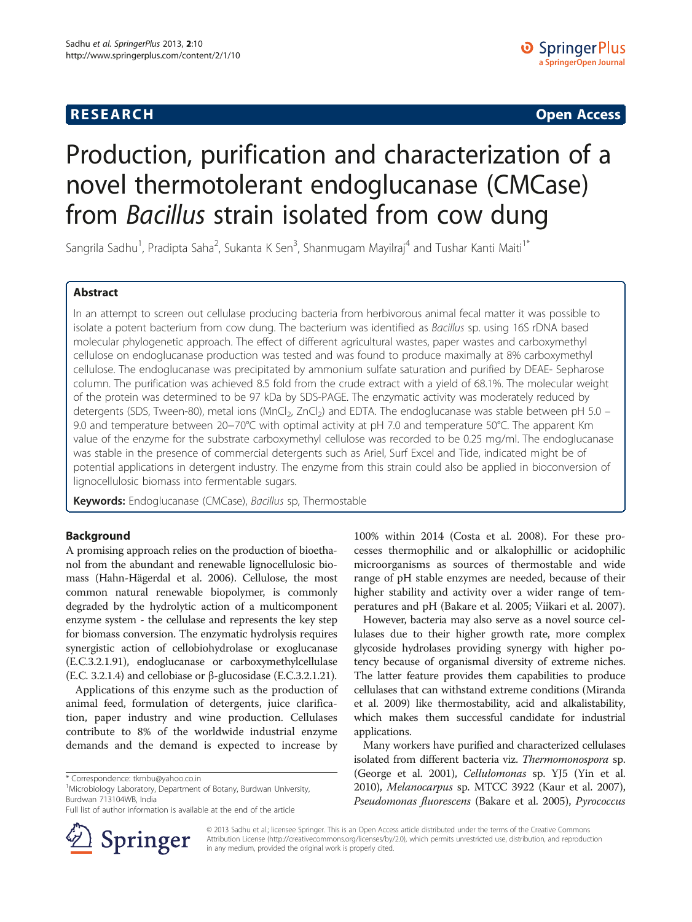## **RESEARCH CHINESE ARCH CHINESE ARCHITECT ARCHITECT ARCHITECT ARCHITECT ARCHITECT ARCHITECT ARCHITECT ARCHITECT ARCHITECT ARCHITECT ARCHITECT ARCHITECT ARCHITECT ARCHITECT ARCHITECT ARCHITECT ARCHITECT ARCHITECT ARCHITE**

# Production, purification and characterization of a novel thermotolerant endoglucanase (CMCase) from Bacillus strain isolated from cow dung

Sangrila Sadhu<sup>1</sup>, Pradipta Saha<sup>2</sup>, Sukanta K Sen<sup>3</sup>, Shanmugam Mayilraj<sup>4</sup> and Tushar Kanti Maiti<sup>1\*</sup>

## Abstract

In an attempt to screen out cellulase producing bacteria from herbivorous animal fecal matter it was possible to isolate a potent bacterium from cow dung. The bacterium was identified as Bacillus sp. using 16S rDNA based molecular phylogenetic approach. The effect of different agricultural wastes, paper wastes and carboxymethyl cellulose on endoglucanase production was tested and was found to produce maximally at 8% carboxymethyl cellulose. The endoglucanase was precipitated by ammonium sulfate saturation and purified by DEAE- Sepharose column. The purification was achieved 8.5 fold from the crude extract with a yield of 68.1%. The molecular weight of the protein was determined to be 97 kDa by SDS-PAGE. The enzymatic activity was moderately reduced by detergents (SDS, Tween-80), metal ions (MnCl<sub>2</sub>, ZnCl<sub>2</sub>) and EDTA. The endoglucanase was stable between pH 5.0 – 9.0 and temperature between 20−70°C with optimal activity at pH 7.0 and temperature 50°C. The apparent Km value of the enzyme for the substrate carboxymethyl cellulose was recorded to be 0.25 mg/ml. The endoglucanase was stable in the presence of commercial detergents such as Ariel, Surf Excel and Tide, indicated might be of potential applications in detergent industry. The enzyme from this strain could also be applied in bioconversion of lignocellulosic biomass into fermentable sugars.

Keywords: Endoglucanase (CMCase), Bacillus sp, Thermostable

## Background

A promising approach relies on the production of bioethanol from the abundant and renewable lignocellulosic biomass (Hahn-Hägerdal et al. [2006](#page-8-0)). Cellulose, the most common natural renewable biopolymer, is commonly degraded by the hydrolytic action of a multicomponent enzyme system - the cellulase and represents the key step for biomass conversion. The enzymatic hydrolysis requires synergistic action of cellobiohydrolase or exoglucanase (E.C.3.2.1.91), endoglucanase or carboxymethylcellulase (E.C. 3.2.1.4) and cellobiase or β-glucosidase (E.C.3.2.1.21).

Applications of this enzyme such as the production of animal feed, formulation of detergents, juice clarification, paper industry and wine production. Cellulases contribute to 8% of the worldwide industrial enzyme demands and the demand is expected to increase by

Full list of author information is available at the end of the article



100% within 2014 (Costa et al. [2008](#page-8-0)). For these processes thermophilic and or alkalophillic or acidophilic microorganisms as sources of thermostable and wide range of pH stable enzymes are needed, because of their higher stability and activity over a wider range of temperatures and pH (Bakare et al. [2005](#page-8-0); Viikari et al. [2007](#page-9-0)).

However, bacteria may also serve as a novel source cellulases due to their higher growth rate, more complex glycoside hydrolases providing synergy with higher potency because of organismal diversity of extreme niches. The latter feature provides them capabilities to produce cellulases that can withstand extreme conditions (Miranda et al. [2009](#page-9-0)) like thermostability, acid and alkalistability, which makes them successful candidate for industrial applications.

Many workers have purified and characterized cellulases isolated from different bacteria viz. Thermomonospora sp. (George et al. [2001](#page-8-0)), Cellulomonas sp. YJ5 (Yin et al. [2010](#page-9-0)), Melanocarpus sp. MTCC 3922 (Kaur et al. [2007](#page-9-0)), Pseudomonas fluorescens (Bakare et al. [2005\)](#page-8-0), Pyrococcus

© 2013 Sadhu et al.; licensee Springer. This is an Open Access article distributed under the terms of the Creative Commons Attribution License [\(http://creativecommons.org/licenses/by/2.0\)](http://creativecommons.org/licenses/by/2.0), which permits unrestricted use, distribution, and reproduction in any medium, provided the original work is properly cited.

<sup>\*</sup> Correspondence: [tkmbu@yahoo.co.in](mailto:tkmbu@yahoo.co.in) <sup>1</sup>

<sup>&</sup>lt;sup>1</sup>Microbiology Laboratory, Department of Botany, Burdwan University, Burdwan 713104WB, India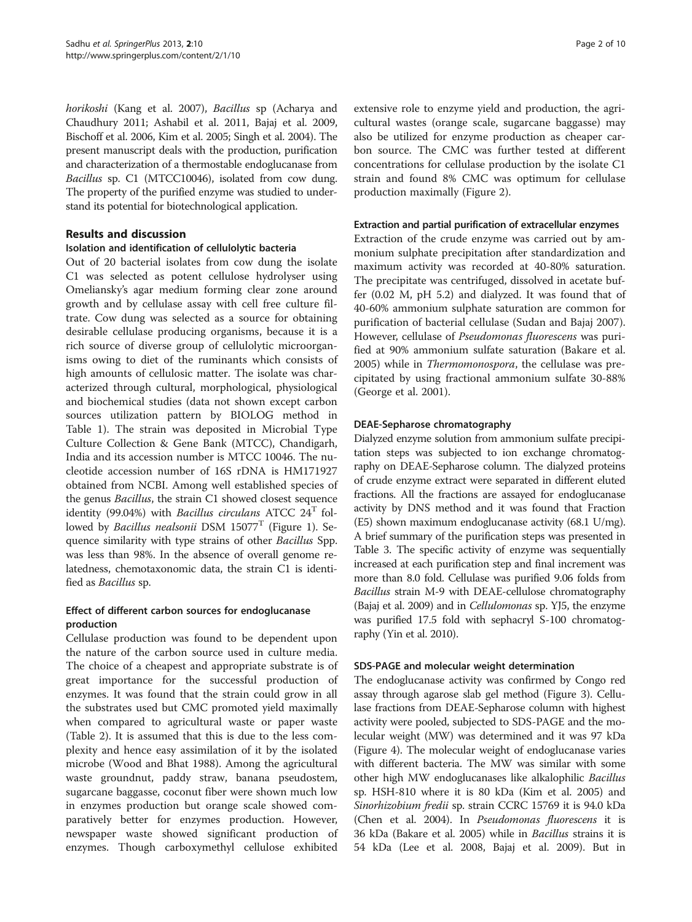horikoshi (Kang et al. [2007](#page-9-0)), Bacillus sp (Acharya and Chaudhury [2011](#page-8-0); Ashabil et al. [2011](#page-8-0), Bajaj et al. [2009](#page-8-0), Bischoff et al. [2006,](#page-8-0) Kim et al. [2005](#page-9-0); Singh et al. [2004\)](#page-9-0). The present manuscript deals with the production, purification and characterization of a thermostable endoglucanase from Bacillus sp. C1 (MTCC10046), isolated from cow dung. The property of the purified enzyme was studied to understand its potential for biotechnological application.

## Results and discussion

## Isolation and identification of cellulolytic bacteria

Out of 20 bacterial isolates from cow dung the isolate C1 was selected as potent cellulose hydrolyser using Omeliansky's agar medium forming clear zone around growth and by cellulase assay with cell free culture filtrate. Cow dung was selected as a source for obtaining desirable cellulase producing organisms, because it is a rich source of diverse group of cellulolytic microorganisms owing to diet of the ruminants which consists of high amounts of cellulosic matter. The isolate was characterized through cultural, morphological, physiological and biochemical studies (data not shown except carbon sources utilization pattern by BIOLOG method in Table [1\)](#page-2-0). The strain was deposited in Microbial Type Culture Collection & Gene Bank (MTCC), Chandigarh, India and its accession number is MTCC 10046. The nucleotide accession number of 16S rDNA is HM171927 obtained from NCBI. Among well established species of the genus Bacillus, the strain C1 showed closest sequence identity (99.04%) with *Bacillus circulans* ATCC  $24<sup>T</sup>$  followed by *Bacillus nealsonii* DSM  $15077$ <sup>T</sup> (Figure [1\)](#page-3-0). Sequence similarity with type strains of other Bacillus Spp. was less than 98%. In the absence of overall genome relatedness, chemotaxonomic data, the strain C1 is identified as Bacillus sp.

## Effect of different carbon sources for endoglucanase production

Cellulase production was found to be dependent upon the nature of the carbon source used in culture media. The choice of a cheapest and appropriate substrate is of great importance for the successful production of enzymes. It was found that the strain could grow in all the substrates used but CMC promoted yield maximally when compared to agricultural waste or paper waste (Table [2](#page-3-0)). It is assumed that this is due to the less complexity and hence easy assimilation of it by the isolated microbe (Wood and Bhat [1988](#page-9-0)). Among the agricultural waste groundnut, paddy straw, banana pseudostem, sugarcane baggasse, coconut fiber were shown much low in enzymes production but orange scale showed comparatively better for enzymes production. However, newspaper waste showed significant production of enzymes. Though carboxymethyl cellulose exhibited

extensive role to enzyme yield and production, the agricultural wastes (orange scale, sugarcane baggasse) may also be utilized for enzyme production as cheaper carbon source. The CMC was further tested at different concentrations for cellulase production by the isolate C1 strain and found 8% CMC was optimum for cellulase production maximally (Figure [2\)](#page-4-0).

#### Extraction and partial purification of extracellular enzymes

Extraction of the crude enzyme was carried out by ammonium sulphate precipitation after standardization and maximum activity was recorded at 40-80% saturation. The precipitate was centrifuged, dissolved in acetate buffer (0.02 M, pH 5.2) and dialyzed. It was found that of 40-60% ammonium sulphate saturation are common for purification of bacterial cellulase (Sudan and Bajaj [2007](#page-9-0)). However, cellulase of Pseudomonas fluorescens was purified at 90% ammonium sulfate saturation (Bakare et al. [2005](#page-8-0)) while in Thermomonospora, the cellulase was precipitated by using fractional ammonium sulfate 30-88% (George et al. [2001\)](#page-8-0).

## DEAE-Sepharose chromatography

Dialyzed enzyme solution from ammonium sulfate precipitation steps was subjected to ion exchange chromatography on DEAE-Sepharose column. The dialyzed proteins of crude enzyme extract were separated in different eluted fractions. All the fractions are assayed for endoglucanase activity by DNS method and it was found that Fraction (E5) shown maximum endoglucanase activity (68.1 U/mg). A brief summary of the purification steps was presented in Table [3](#page-4-0). The specific activity of enzyme was sequentially increased at each purification step and final increment was more than 8.0 fold. Cellulase was purified 9.06 folds from Bacillus strain M-9 with DEAE-cellulose chromatography (Bajaj et al. [2009](#page-8-0)) and in Cellulomonas sp. YJ5, the enzyme was purified 17.5 fold with sephacryl S-100 chromatography (Yin et al. [2010](#page-9-0)).

## SDS-PAGE and molecular weight determination

The endoglucanase activity was confirmed by Congo red assay through agarose slab gel method (Figure [3](#page-5-0)). Cellulase fractions from DEAE-Sepharose column with highest activity were pooled, subjected to SDS-PAGE and the molecular weight (MW) was determined and it was 97 kDa (Figure [4](#page-5-0)). The molecular weight of endoglucanase varies with different bacteria. The MW was similar with some other high MW endoglucanases like alkalophilic Bacillus sp. HSH-810 where it is 80 kDa (Kim et al. [2005](#page-9-0)) and Sinorhizobium fredii sp. strain CCRC 15769 it is 94.0 kDa (Chen et al. [2004](#page-8-0)). In Pseudomonas fluorescens it is 36 kDa (Bakare et al. [2005\)](#page-8-0) while in Bacillus strains it is 54 kDa (Lee et al. [2008,](#page-9-0) Bajaj et al. [2009\)](#page-8-0). But in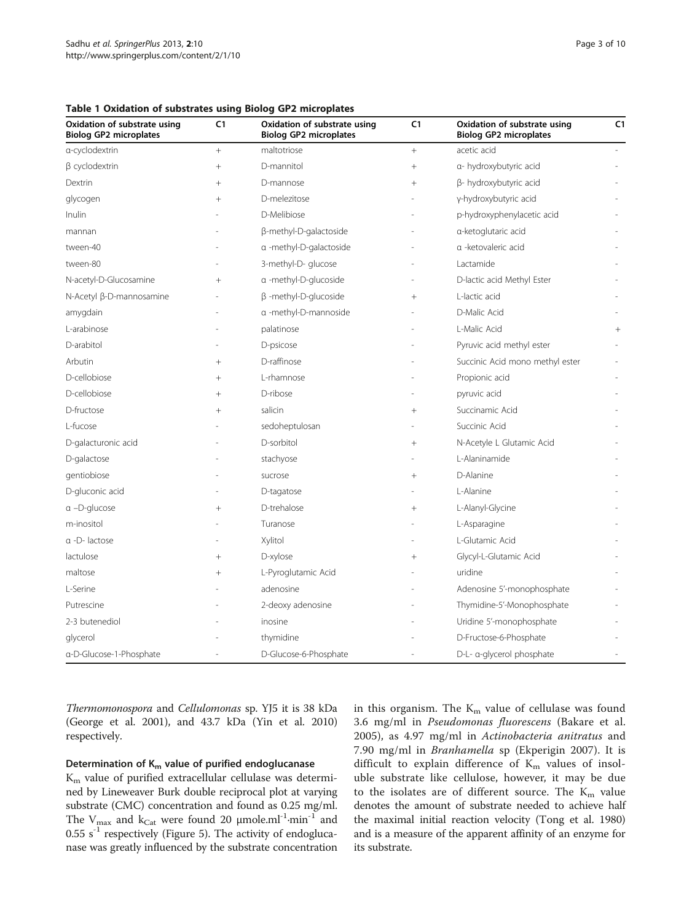<span id="page-2-0"></span>

| Oxidation of substrate using<br><b>Biolog GP2 microplates</b> | C1     | Oxidation of substrate using<br><b>Biolog GP2 microplates</b> | C1     | Oxidation of substrate using<br><b>Biolog GP2 microplates</b> | C1 |
|---------------------------------------------------------------|--------|---------------------------------------------------------------|--------|---------------------------------------------------------------|----|
| a-cyclodextrin                                                |        | maltotriose                                                   |        | acetic acid                                                   |    |
| $\beta$ cyclodextrin                                          | $^{+}$ | D-mannitol                                                    | $+$    | a- hydroxybutyric acid                                        |    |
| Dextrin                                                       | $^+$   | D-mannose                                                     | $^+$   | β- hydroxybutyric acid                                        |    |
| glycogen                                                      | $^{+}$ | D-melezitose                                                  |        | y-hydroxybutyric acid                                         |    |
| Inulin                                                        |        | D-Melibiose                                                   |        | p-hydroxyphenylacetic acid                                    |    |
| mannan                                                        |        | β-methyl-D-galactoside                                        |        | a-ketoglutaric acid                                           |    |
| tween-40                                                      |        | a -methyl-D-galactoside                                       |        | a -ketovaleric acid                                           |    |
| tween-80                                                      |        | 3-methyl-D- glucose                                           |        | Lactamide                                                     |    |
| N-acetyl-D-Glucosamine                                        | $^{+}$ | a -methyl-D-glucoside                                         |        | D-lactic acid Methyl Ester                                    |    |
| N-Acetyl β-D-mannosamine                                      |        | $\beta$ -methyl-D-glucoside                                   | $^{+}$ | L-lactic acid                                                 |    |
| amygdain                                                      |        | a -methyl-D-mannoside                                         |        | D-Malic Acid                                                  |    |
| L-arabinose                                                   |        | palatinose                                                    |        | L-Malic Acid                                                  |    |
| D-arabitol                                                    |        | D-psicose                                                     |        | Pyruvic acid methyl ester                                     |    |
| Arbutin                                                       | $^{+}$ | D-raffinose                                                   |        | Succinic Acid mono methyl ester                               |    |
| D-cellobiose                                                  |        | L-rhamnose                                                    |        | Propionic acid                                                |    |
| D-cellobiose                                                  | $^+$   | D-ribose                                                      |        | pyruvic acid                                                  |    |
| D-fructose                                                    | $^{+}$ | salicin                                                       | $^{+}$ | Succinamic Acid                                               |    |
| L-fucose                                                      |        | sedoheptulosan                                                |        | Succinic Acid                                                 |    |
| D-galacturonic acid                                           |        | D-sorbitol                                                    | $+$    | N-Acetyle L Glutamic Acid                                     |    |
| D-galactose                                                   |        | stachyose                                                     |        | L-Alaninamide                                                 |    |
| gentiobiose                                                   |        | sucrose                                                       | $^{+}$ | D-Alanine                                                     |    |
| D-gluconic acid                                               |        | D-tagatose                                                    |        | I-Alanine                                                     |    |
| $\alpha$ -D-glucose                                           | $^{+}$ | D-trehalose                                                   | $^{+}$ | L-Alanyl-Glycine                                              |    |
| m-inositol                                                    |        | Turanose                                                      |        | L-Asparagine                                                  |    |
| a -D-lactose                                                  |        | Xylitol                                                       |        | L-Glutamic Acid                                               |    |
| lactulose                                                     | $^{+}$ | D-xylose                                                      | $+$    | Glycyl-L-Glutamic Acid                                        |    |
| maltose                                                       | $^{+}$ | L-Pyroglutamic Acid                                           |        | uridine                                                       |    |
| L-Serine                                                      |        | adenosine                                                     |        | Adenosine 5'-monophosphate                                    |    |
| Putrescine                                                    |        | 2-deoxy adenosine                                             |        | Thymidine-5'-Monophosphate                                    |    |
| 2-3 butenediol                                                |        | inosine                                                       |        | Uridine 5'-monophosphate                                      |    |
| glycerol                                                      |        | thymidine                                                     |        | D-Fructose-6-Phosphate                                        |    |
| a-D-Glucose-1-Phosphate                                       |        | D-Glucose-6-Phosphate                                         |        | D-L- a-glycerol phosphate                                     |    |

Thermomonospora and Cellulomonas sp. YJ5 it is 38 kDa (George et al. [2001\)](#page-8-0), and 43.7 kDa (Yin et al. [2010](#page-9-0)) respectively.

#### Determination of  $K_m$  value of purified endoglucanase

 $K<sub>m</sub>$  value of purified extracellular cellulase was determined by Lineweaver Burk double reciprocal plot at varying substrate (CMC) concentration and found as 0.25 mg/ml. The  $V_{\text{max}}$  and  $k_{\text{Cat}}$  were found 20  $\mu$ mole.ml<sup>-1</sup>·min<sup>-1</sup> and  $0.55$  s<sup>-1</sup> respectively (Figure [5\)](#page-5-0). The activity of endoglucanase was greatly influenced by the substrate concentration in this organism. The  $K<sub>m</sub>$  value of cellulase was found 3.6 mg/ml in Pseudomonas fluorescens (Bakare et al. [2005\)](#page-8-0), as 4.97 mg/ml in Actinobacteria anitratus and 7.90 mg/ml in Branhamella sp (Ekperigin [2007](#page-8-0)). It is difficult to explain difference of  $K_m$  values of insoluble substrate like cellulose, however, it may be due to the isolates are of different source. The  $K_m$  value denotes the amount of substrate needed to achieve half the maximal initial reaction velocity (Tong et al. [1980](#page-9-0)) and is a measure of the apparent affinity of an enzyme for its substrate.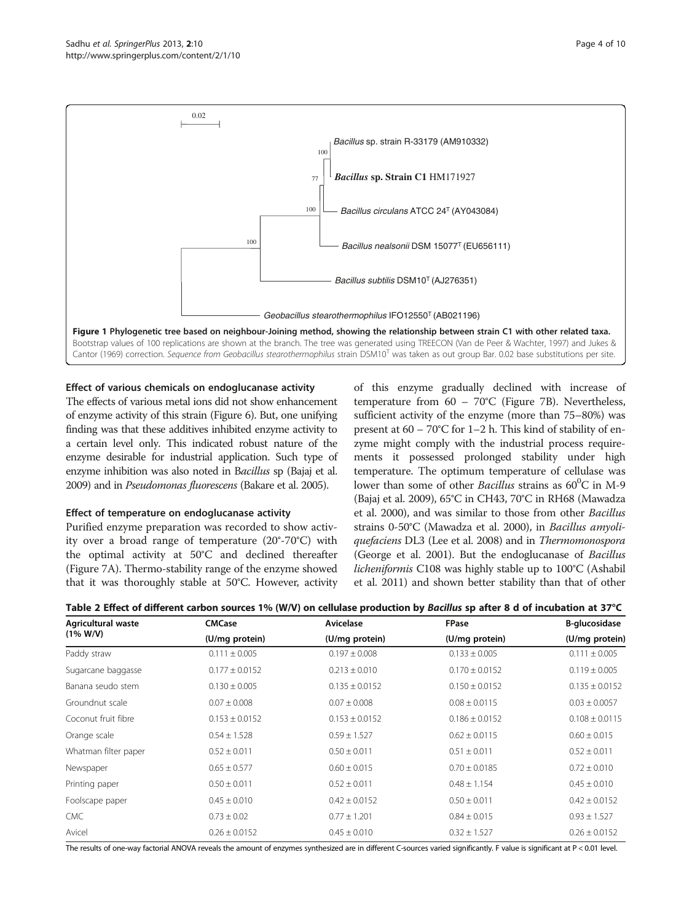<span id="page-3-0"></span>

## Effect of various chemicals on endoglucanase activity

The effects of various metal ions did not show enhancement of enzyme activity of this strain (Figure [6\)](#page-6-0). But, one unifying finding was that these additives inhibited enzyme activity to a certain level only. This indicated robust nature of the enzyme desirable for industrial application. Such type of enzyme inhibition was also noted in Bacillus sp (Bajaj et al. [2009](#page-8-0)) and in Pseudomonas fluorescens (Bakare et al. [2005](#page-8-0)).

## Effect of temperature on endoglucanase activity

Purified enzyme preparation was recorded to show activity over a broad range of temperature (20°-70°C) with the optimal activity at 50°C and declined thereafter (Figure [7](#page-6-0)A). Thermo-stability range of the enzyme showed that it was thoroughly stable at 50°C. However, activity of this enzyme gradually declined with increase of temperature from 60 – 70°C (Figure [7B](#page-6-0)). Nevertheless, sufficient activity of the enzyme (more than 75–80%) was present at  $60 - 70^{\circ}$ C for 1–2 h. This kind of stability of enzyme might comply with the industrial process requirements it possessed prolonged stability under high temperature. The optimum temperature of cellulase was lower than some of other *Bacillus* strains as  $60^{\circ}$ C in M-9 (Bajaj et al. [2009\)](#page-8-0), 65°C in CH43, 70°C in RH68 (Mawadza et al. [2000](#page-9-0)), and was similar to those from other Bacillus strains 0-50°C (Mawadza et al. [2000\)](#page-9-0), in Bacillus amyoliquefaciens DL3 (Lee et al. [2008\)](#page-9-0) and in Thermomonospora (George et al. [2001\)](#page-8-0). But the endoglucanase of Bacillus licheniformis C108 was highly stable up to 100°C (Ashabil et al. [2011\)](#page-8-0) and shown better stability than that of other

| Agricultural waste<br>$(1\% W/V)$ | <b>CMCase</b>      | Avicelase          | FPase              | B-glucosidase      |  |
|-----------------------------------|--------------------|--------------------|--------------------|--------------------|--|
|                                   | (U/mg protein)     | (U/mg protein)     | (U/mg protein)     | (U/mg protein)     |  |
| Paddy straw                       | $0.111 \pm 0.005$  | $0.197 \pm 0.008$  | $0.133 \pm 0.005$  | $0.111 \pm 0.005$  |  |
| Sugarcane baggasse                | $0.177 \pm 0.0152$ | $0.213 \pm 0.010$  | $0.170 \pm 0.0152$ | $0.119 \pm 0.005$  |  |
| Banana seudo stem                 | $0.130 \pm 0.005$  | $0.135 \pm 0.0152$ | $0.150 \pm 0.0152$ | $0.135 \pm 0.0152$ |  |
| Groundnut scale                   | $0.07 \pm 0.008$   | $0.07 \pm 0.008$   | $0.08 \pm 0.0115$  | $0.03 \pm 0.0057$  |  |
| Coconut fruit fibre               | $0.153 \pm 0.0152$ | $0.153 \pm 0.0152$ | $0.186 \pm 0.0152$ | $0.108 \pm 0.0115$ |  |
| Orange scale                      | $0.54 \pm 1.528$   | $0.59 \pm 1.527$   | $0.62 \pm 0.0115$  | $0.60 \pm 0.015$   |  |
| Whatman filter paper              | $0.52 \pm 0.011$   | $0.50 \pm 0.011$   | $0.51 \pm 0.011$   | $0.52 \pm 0.011$   |  |
| Newspaper                         | $0.65 \pm 0.577$   | $0.60 \pm 0.015$   | $0.70 \pm 0.0185$  | $0.72 \pm 0.010$   |  |
| Printing paper                    | $0.50 \pm 0.011$   | $0.52 \pm 0.011$   | $0.48 \pm 1.154$   | $0.45 \pm 0.010$   |  |
| Foolscape paper                   | $0.45 \pm 0.010$   | $0.42 \pm 0.0152$  | $0.50 \pm 0.011$   | $0.42 \pm 0.0152$  |  |
| <b>CMC</b>                        | $0.73 \pm 0.02$    | $0.77 \pm 1.201$   | $0.84 \pm 0.015$   | $0.93 \pm 1.527$   |  |
| Avicel                            | $0.26 \pm 0.0152$  | $0.45 \pm 0.010$   | $0.32 \pm 1.527$   | $0.26 \pm 0.0152$  |  |

The results of one-way factorial ANOVA reveals the amount of enzymes synthesized are in different C-sources varied significantly. F value is significant at P < 0.01 level.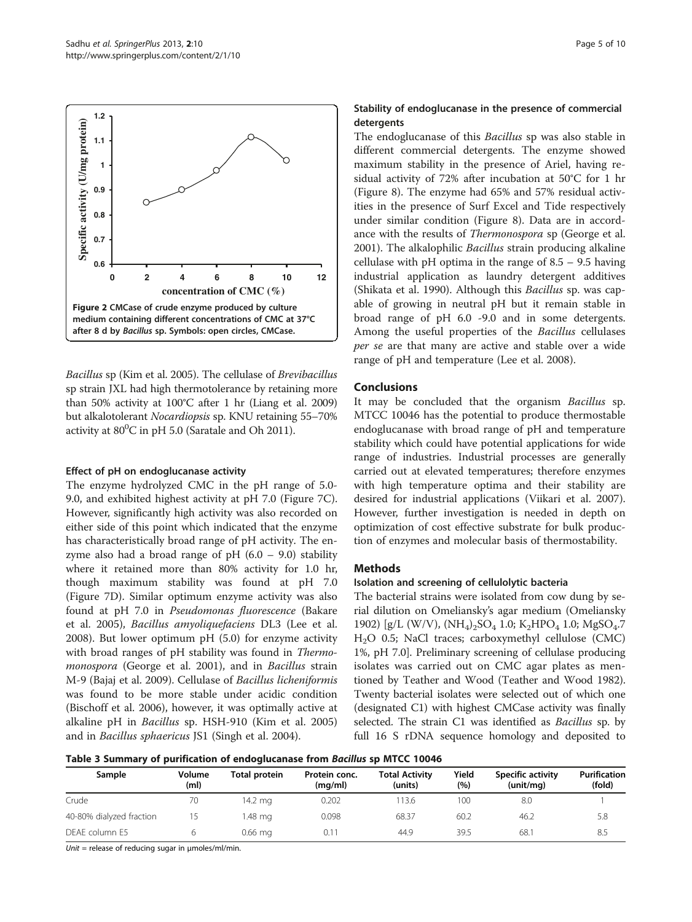<span id="page-4-0"></span>

Bacillus sp (Kim et al. [2005](#page-9-0)). The cellulase of Brevibacillus sp strain JXL had high thermotolerance by retaining more than 50% activity at 100°C after 1 hr (Liang et al. [2009](#page-9-0)) but alkalotolerant Nocardiopsis sp. KNU retaining 55–70% activity at  $80^0C$  in pH 5.0 (Saratale and Oh [2011\)](#page-9-0).

#### Effect of pH on endoglucanase activity

The enzyme hydrolyzed CMC in the pH range of 5.0- 9.0, and exhibited highest activity at pH 7.0 (Figure [7](#page-6-0)C). However, significantly high activity was also recorded on either side of this point which indicated that the enzyme has characteristically broad range of pH activity. The enzyme also had a broad range of pH  $(6.0 - 9.0)$  stability where it retained more than 80% activity for 1.0 hr, though maximum stability was found at pH 7.0 (Figure [7D](#page-6-0)). Similar optimum enzyme activity was also found at pH 7.0 in Pseudomonas fluorescence (Bakare et al. [2005\)](#page-8-0), Bacillus amyoliquefaciens DL3 (Lee et al. [2008](#page-9-0)). But lower optimum pH (5.0) for enzyme activity with broad ranges of pH stability was found in Thermomonospora (George et al. [2001\)](#page-8-0), and in Bacillus strain M-9 (Bajaj et al. [2009\)](#page-8-0). Cellulase of Bacillus licheniformis was found to be more stable under acidic condition (Bischoff et al. [2006](#page-8-0)), however, it was optimally active at alkaline pH in Bacillus sp. HSH-910 (Kim et al. [2005](#page-9-0)) and in Bacillus sphaericus JS1 (Singh et al. [2004\)](#page-9-0).

## Stability of endoglucanase in the presence of commercial detergents

The endoglucanase of this *Bacillus* sp was also stable in different commercial detergents. The enzyme showed maximum stability in the presence of Ariel, having residual activity of 72% after incubation at 50°C for 1 hr (Figure [8\)](#page-7-0). The enzyme had 65% and 57% residual activities in the presence of Surf Excel and Tide respectively under similar condition (Figure [8](#page-7-0)). Data are in accordance with the results of Thermonospora sp (George et al. [2001](#page-8-0)). The alkalophilic Bacillus strain producing alkaline cellulase with pH optima in the range of 8.5 – 9.5 having industrial application as laundry detergent additives (Shikata et al. [1990\)](#page-9-0). Although this Bacillus sp. was capable of growing in neutral pH but it remain stable in broad range of pH 6.0 -9.0 and in some detergents. Among the useful properties of the Bacillus cellulases per se are that many are active and stable over a wide range of pH and temperature (Lee et al. [2008](#page-9-0)).

## **Conclusions**

It may be concluded that the organism Bacillus sp. MTCC 10046 has the potential to produce thermostable endoglucanase with broad range of pH and temperature stability which could have potential applications for wide range of industries. Industrial processes are generally carried out at elevated temperatures; therefore enzymes with high temperature optima and their stability are desired for industrial applications (Viikari et al. [2007](#page-9-0)). However, further investigation is needed in depth on optimization of cost effective substrate for bulk production of enzymes and molecular basis of thermostability.

## **Methods**

## Isolation and screening of cellulolytic bacteria

The bacterial strains were isolated from cow dung by serial dilution on Omeliansky's agar medium (Omeliansky [1902](#page-9-0)) [g/L (W/V),  $(NH_4)_2SO_4$  1.0;  $K_2HPO_4$  1.0;  $MgSO_4$ .7 H2O 0.5; NaCl traces; carboxymethyl cellulose (CMC) 1%, pH 7.0]. Preliminary screening of cellulase producing isolates was carried out on CMC agar plates as mentioned by Teather and Wood (Teather and Wood [1982](#page-9-0)). Twenty bacterial isolates were selected out of which one (designated C1) with highest CMCase activity was finally selected. The strain C1 was identified as *Bacillus* sp. by full 16 S rDNA sequence homology and deposited to

Table 3 Summary of purification of endoglucanase from Bacillus sp MTCC 10046

| Sample                   | Volume<br>(m <sub>l</sub> ) | Total protein | Protein conc.<br>(mq/ml) | <b>Total Activity</b><br>(units) | Yield<br>(%) | Specific activity<br>(unit/ma) | <b>Purification</b><br>(fold) |
|--------------------------|-----------------------------|---------------|--------------------------|----------------------------------|--------------|--------------------------------|-------------------------------|
| Crude                    | 70                          | 14.2 mg       | 0.202                    | 13.6                             | 100          | 8.0                            |                               |
| 40-80% dialyzed fraction |                             | 1.48 ma       | 0.098                    | 68.37                            | 60.2         | 46.2                           | 5.8                           |
| DEAE column E5           |                             | $0.66$ mg     | 0.11                     | 44.9                             | 39.5         | 68.1                           | 8.5                           |

Unit = release of reducing sugar in  $\mu$ moles/ml/min.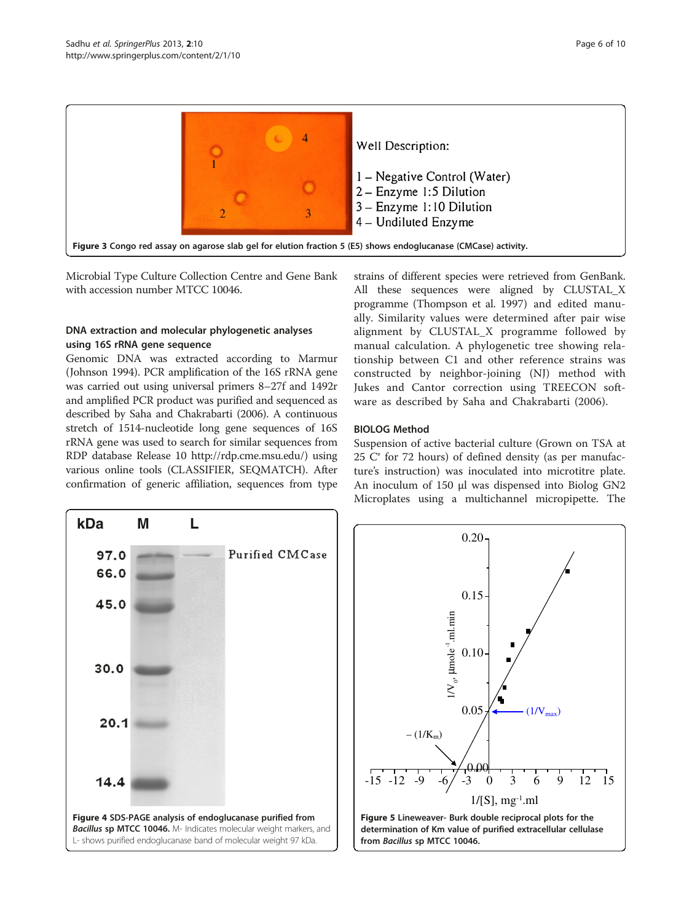<span id="page-5-0"></span>

Microbial Type Culture Collection Centre and Gene Bank with accession number MTCC 10046.

## DNA extraction and molecular phylogenetic analyses using 16S rRNA gene sequence

Genomic DNA was extracted according to Marmur (Johnson [1994](#page-8-0)). PCR amplification of the 16S rRNA gene was carried out using universal primers 8–27f and 1492r and amplified PCR product was purified and sequenced as described by Saha and Chakrabarti [\(2006](#page-9-0)). A continuous stretch of 1514-nucleotide long gene sequences of 16S rRNA gene was used to search for similar sequences from RDP database Release 10<http://rdp.cme.msu.edu/>) using various online tools (CLASSIFIER, SEQMATCH). After confirmation of generic affiliation, sequences from type

strains of different species were retrieved from GenBank. All these sequences were aligned by CLUSTAL\_X programme (Thompson et al. [1997\)](#page-9-0) and edited manually. Similarity values were determined after pair wise alignment by CLUSTAL\_X programme followed by manual calculation. A phylogenetic tree showing relationship between C1 and other reference strains was constructed by neighbor-joining (NJ) method with Jukes and Cantor correction using TREECON software as described by Saha and Chakrabarti ([2006](#page-9-0)).

## BIOLOG Method

Suspension of active bacterial culture (Grown on TSA at 25 C° for 72 hours) of defined density (as per manufacture's instruction) was inoculated into microtitre plate. An inoculum of 150 μl was dispensed into Biolog GN2 Microplates using a multichannel micropipette. The



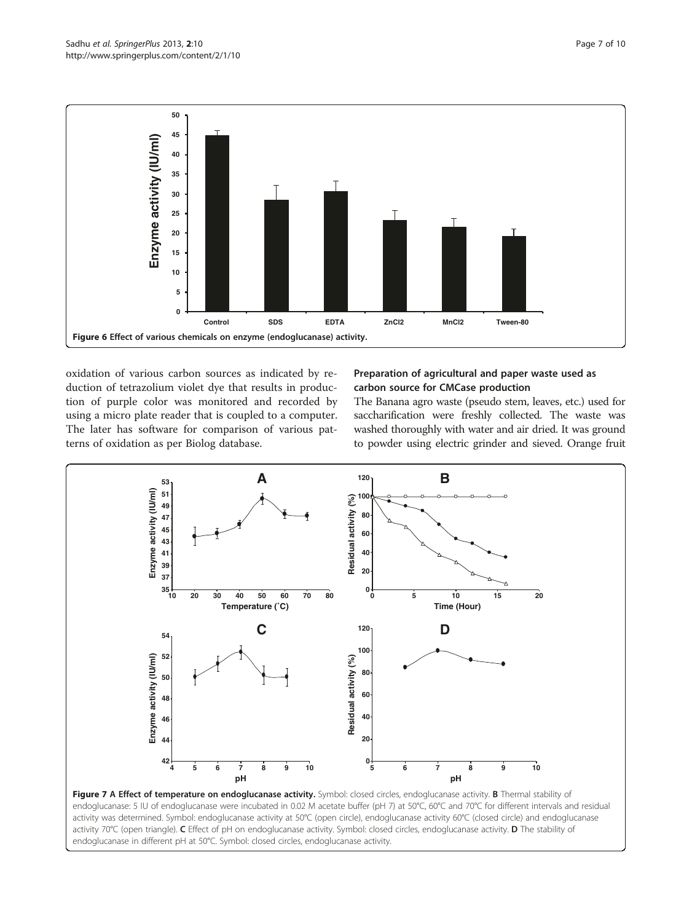<span id="page-6-0"></span>

oxidation of various carbon sources as indicated by reduction of tetrazolium violet dye that results in production of purple color was monitored and recorded by using a micro plate reader that is coupled to a computer. The later has software for comparison of various patterns of oxidation as per Biolog database.

## Preparation of agricultural and paper waste used as carbon source for CMCase production

The Banana agro waste (pseudo stem, leaves, etc.) used for saccharification were freshly collected. The waste was washed thoroughly with water and air dried. It was ground to powder using electric grinder and sieved. Orange fruit



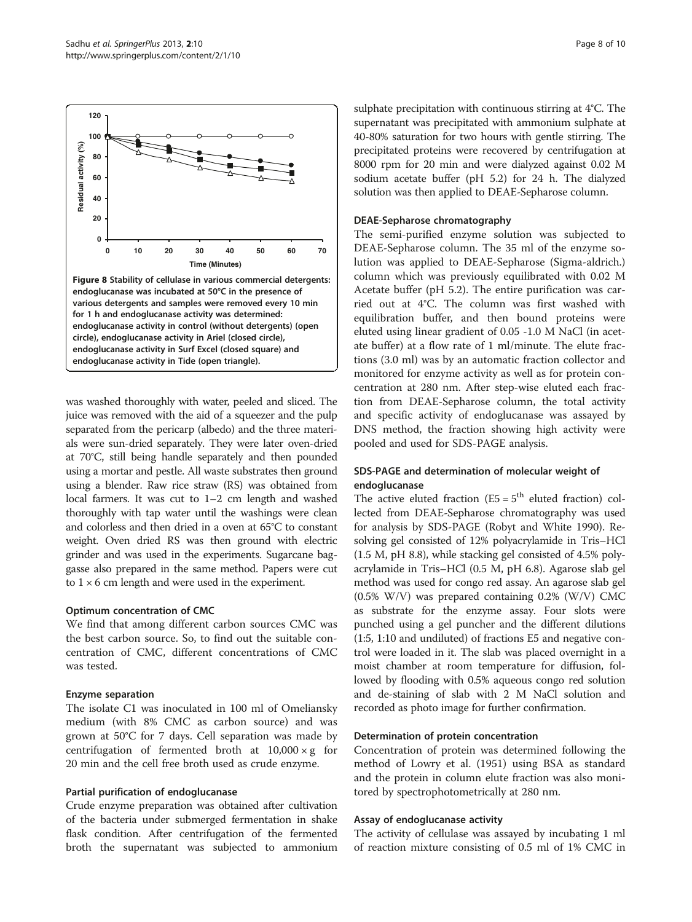<span id="page-7-0"></span>

was washed thoroughly with water, peeled and sliced. The juice was removed with the aid of a squeezer and the pulp separated from the pericarp (albedo) and the three materials were sun-dried separately. They were later oven-dried at 70°C, still being handle separately and then pounded using a mortar and pestle. All waste substrates then ground using a blender. Raw rice straw (RS) was obtained from local farmers. It was cut to 1–2 cm length and washed thoroughly with tap water until the washings were clean and colorless and then dried in a oven at 65°C to constant weight. Oven dried RS was then ground with electric grinder and was used in the experiments. Sugarcane baggasse also prepared in the same method. Papers were cut to  $1 \times 6$  cm length and were used in the experiment.

#### Optimum concentration of CMC

We find that among different carbon sources CMC was the best carbon source. So, to find out the suitable concentration of CMC, different concentrations of CMC was tested.

## Enzyme separation

The isolate C1 was inoculated in 100 ml of Omeliansky medium (with 8% CMC as carbon source) and was grown at 50°C for 7 days. Cell separation was made by centrifugation of fermented broth at  $10,000 \times g$  for 20 min and the cell free broth used as crude enzyme.

## Partial purification of endoglucanase

Crude enzyme preparation was obtained after cultivation of the bacteria under submerged fermentation in shake flask condition. After centrifugation of the fermented broth the supernatant was subjected to ammonium

sulphate precipitation with continuous stirring at 4°C. The supernatant was precipitated with ammonium sulphate at 40-80% saturation for two hours with gentle stirring. The precipitated proteins were recovered by centrifugation at 8000 rpm for 20 min and were dialyzed against 0.02 M sodium acetate buffer (pH 5.2) for 24 h. The dialyzed solution was then applied to DEAE-Sepharose column.

## DEAE-Sepharose chromatography

The semi-purified enzyme solution was subjected to DEAE-Sepharose column. The 35 ml of the enzyme solution was applied to DEAE-Sepharose (Sigma-aldrich.) column which was previously equilibrated with 0.02 M Acetate buffer (pH 5.2). The entire purification was carried out at 4°C. The column was first washed with equilibration buffer, and then bound proteins were eluted using linear gradient of 0.05 -1.0 M NaCl (in acetate buffer) at a flow rate of 1 ml/minute. The elute fractions (3.0 ml) was by an automatic fraction collector and monitored for enzyme activity as well as for protein concentration at 280 nm. After step-wise eluted each fraction from DEAE-Sepharose column, the total activity and specific activity of endoglucanase was assayed by DNS method, the fraction showing high activity were pooled and used for SDS-PAGE analysis.

## SDS-PAGE and determination of molecular weight of endoglucanase

The active eluted fraction  $(E5 = 5<sup>th</sup>$  eluted fraction) collected from DEAE-Sepharose chromatography was used for analysis by SDS-PAGE (Robyt and White [1990](#page-9-0)). Resolving gel consisted of 12% polyacrylamide in Tris–HCl (1.5 M, pH 8.8), while stacking gel consisted of 4.5% polyacrylamide in Tris–HCl (0.5 M, pH 6.8). Agarose slab gel method was used for congo red assay. An agarose slab gel (0.5% W/V) was prepared containing 0.2% (W/V) CMC as substrate for the enzyme assay. Four slots were punched using a gel puncher and the different dilutions (1:5, 1:10 and undiluted) of fractions E5 and negative control were loaded in it. The slab was placed overnight in a moist chamber at room temperature for diffusion, followed by flooding with 0.5% aqueous congo red solution and de-staining of slab with 2 M NaCl solution and recorded as photo image for further confirmation.

## Determination of protein concentration

Concentration of protein was determined following the method of Lowry et al. [\(1951](#page-9-0)) using BSA as standard and the protein in column elute fraction was also monitored by spectrophotometrically at 280 nm.

## Assay of endoglucanase activity

The activity of cellulase was assayed by incubating 1 ml of reaction mixture consisting of 0.5 ml of 1% CMC in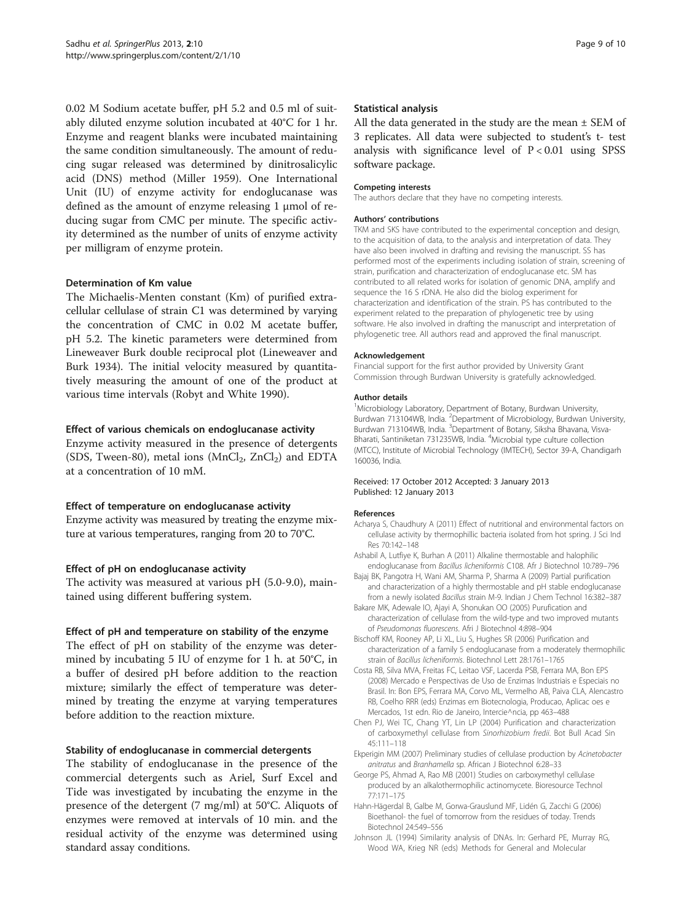<span id="page-8-0"></span>0.02 M Sodium acetate buffer, pH 5.2 and 0.5 ml of suitably diluted enzyme solution incubated at 40°C for 1 hr. Enzyme and reagent blanks were incubated maintaining the same condition simultaneously. The amount of reducing sugar released was determined by dinitrosalicylic acid (DNS) method (Miller [1959\)](#page-9-0). One International Unit (IU) of enzyme activity for endoglucanase was defined as the amount of enzyme releasing 1 μmol of reducing sugar from CMC per minute. The specific activity determined as the number of units of enzyme activity per milligram of enzyme protein.

## Determination of Km value

The Michaelis-Menten constant (Km) of purified extracellular cellulase of strain C1 was determined by varying the concentration of CMC in 0.02 M acetate buffer, pH 5.2. The kinetic parameters were determined from Lineweaver Burk double reciprocal plot (Lineweaver and Burk [1934\)](#page-9-0). The initial velocity measured by quantitatively measuring the amount of one of the product at various time intervals (Robyt and White [1990\)](#page-9-0).

#### Effect of various chemicals on endoglucanase activity

Enzyme activity measured in the presence of detergents (SDS, Tween-80), metal ions ( $MnCl<sub>2</sub>$ ,  $ZnCl<sub>2</sub>$ ) and EDTA at a concentration of 10 mM.

## Effect of temperature on endoglucanase activity

Enzyme activity was measured by treating the enzyme mixture at various temperatures, ranging from 20 to 70°C.

## Effect of pH on endoglucanase activity

The activity was measured at various pH (5.0-9.0), maintained using different buffering system.

#### Effect of pH and temperature on stability of the enzyme

The effect of pH on stability of the enzyme was determined by incubating 5 IU of enzyme for 1 h. at 50°C, in a buffer of desired pH before addition to the reaction mixture; similarly the effect of temperature was determined by treating the enzyme at varying temperatures before addition to the reaction mixture.

#### Stability of endoglucanase in commercial detergents

The stability of endoglucanase in the presence of the commercial detergents such as Ariel, Surf Excel and Tide was investigated by incubating the enzyme in the presence of the detergent (7 mg/ml) at 50°C. Aliquots of enzymes were removed at intervals of 10 min. and the residual activity of the enzyme was determined using standard assay conditions.

#### Statistical analysis

All the data generated in the study are the mean  $\pm$  SEM of 3 replicates. All data were subjected to student's t- test analysis with significance level of P < 0.01 using SPSS software package.

#### Competing interests

The authors declare that they have no competing interests.

#### Authors' contributions

TKM and SKS have contributed to the experimental conception and design, to the acquisition of data, to the analysis and interpretation of data. They have also been involved in drafting and revising the manuscript. SS has performed most of the experiments including isolation of strain, screening of strain, purification and characterization of endoglucanase etc. SM has contributed to all related works for isolation of genomic DNA, amplify and sequence the 16 S rDNA. He also did the biolog experiment for characterization and identification of the strain. PS has contributed to the experiment related to the preparation of phylogenetic tree by using software. He also involved in drafting the manuscript and interpretation of phylogenetic tree. All authors read and approved the final manuscript.

#### Acknowledgement

Financial support for the first author provided by University Grant Commission through Burdwan University is gratefully acknowledged.

#### Author details

<sup>1</sup>Microbiology Laboratory, Department of Botany, Burdwan University Burdwan 713104WB, India. <sup>2</sup>Department of Microbiology, Burdwan University, Burdwan 713104WB, India. <sup>3</sup>Department of Botany, Siksha Bhavana, Visva-Bharati, Santiniketan 731235WB, India. <sup>4</sup>Microbial type culture collection (MTCC), Institute of Microbial Technology (IMTECH), Sector 39-A, Chandigarh 160036, India.

#### Received: 17 October 2012 Accepted: 3 January 2013 Published: 12 January 2013

#### References

- Acharya S, Chaudhury A (2011) Effect of nutritional and environmental factors on cellulase activity by thermophillic bacteria isolated from hot spring. J Sci Ind Res 70:142–148
- Ashabil A, Lutfiye K, Burhan A (2011) Alkaline thermostable and halophilic endoglucanase from Bacillus licheniformis C108. Afr J Biotechnol 10:789–796
- Bajaj BK, Pangotra H, Wani AM, Sharma P, Sharma A (2009) Partial purification and characterization of a highly thermostable and pH stable endoglucanase from a newly isolated Bacillus strain M-9. Indian J Chem Technol 16:382–387
- Bakare MK, Adewale IO, Ajayi A, Shonukan OO (2005) Purufication and characterization of cellulase from the wild-type and two improved mutants of Pseudomonas fluorescens. Afri J Biotechnol 4:898–904
- Bischoff KM, Rooney AP, Li XL, Liu S, Hughes SR (2006) Purification and characterization of a family 5 endoglucanase from a moderately thermophilic strain of Bacillus licheniformis. Biotechnol Lett 28:1761–1765
- Costa RB, Silva MVA, Freitas FC, Leitao VSF, Lacerda PSB, Ferrara MA, Bon EPS (2008) Mercado e Perspectivas de Uso de Enzimas Industriais e Especiais no Brasil. In: Bon EPS, Ferrara MA, Corvo ML, Vermelho AB, Paiva CLA, Alencastro RB, Coelho RRR (eds) Enzimas em Biotecnologia, Producao, Aplicac oes e Mercados, 1st edn. Rio de Janeiro, Intercie^ncia, pp 463–488
- Chen PJ, Wei TC, Chang YT, Lin LP (2004) Purification and characterization of carboxymethyl cellulase from Sinorhizobium fredii. Bot Bull Acad Sin 45:111–118
- Ekperigin MM (2007) Preliminary studies of cellulase production by Acinetobacter anitratus and Branhamella sp. African J Biotechnol 6:28–33
- George PS, Ahmad A, Rao MB (2001) Studies on carboxymethyl cellulase produced by an alkalothermophilic actinomycete. Bioresource Technol 77:171–175
- Hahn-Hägerdal B, Galbe M, Gorwa-Grauslund MF, Lidén G, Zacchi G (2006) Bioethanol- the fuel of tomorrow from the residues of today. Trends Biotechnol 24:549–556
- Johnson JL (1994) Similarity analysis of DNAs. In: Gerhard PE, Murray RG, Wood WA, Krieg NR (eds) Methods for General and Molecular